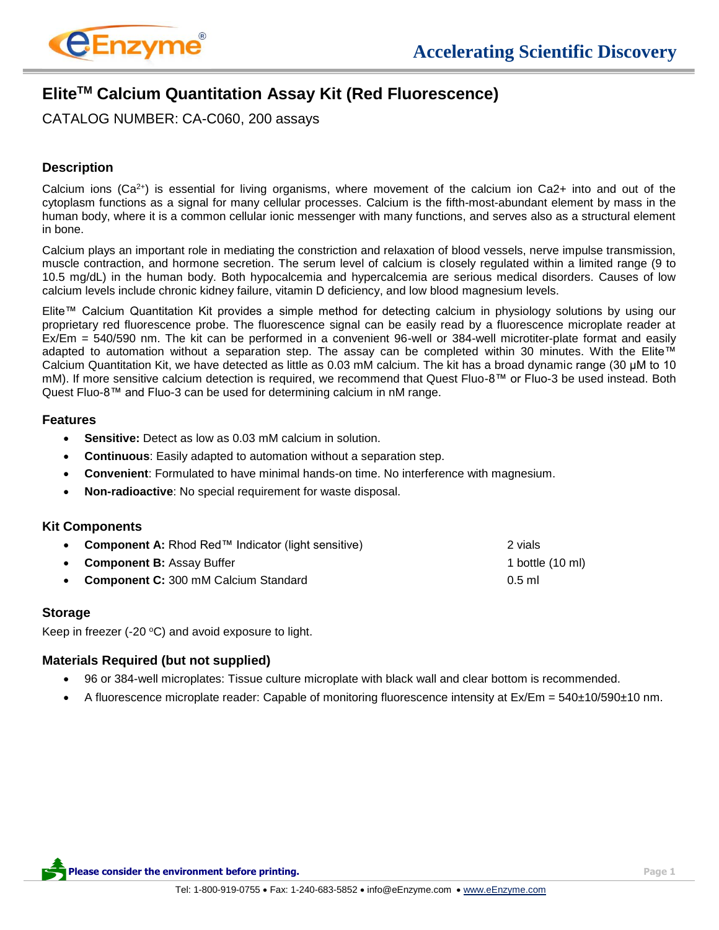

# **EliteTM Calcium Quantitation Assay Kit (Red Fluorescence)**

CATALOG NUMBER: CA-C060, 200 assays

## **Description**

Calcium ions ( $Ca^{2+}$ ) is essential for living organisms, where movement of the calcium ion  $Ca^{2+}$  into and out of the cytoplasm functions as a signal for many cellular processes. Calcium is the fifth-most-abundant element by mass in the human body, where it is a common cellular ionic messenger with many functions, and serves also as a structural element in bone.

Calcium plays an important role in mediating the constriction and relaxation of blood vessels, nerve impulse transmission, muscle contraction, and hormone secretion. The serum level of calcium is closely regulated within a limited range (9 to 10.5 mg/dL) in the human body. Both hypocalcemia and hypercalcemia are serious medical disorders. Causes of low calcium levels include chronic kidney failure, vitamin D deficiency, and low blood magnesium levels.

Elite™ Calcium Quantitation Kit provides a simple method for detecting calcium in physiology solutions by using our proprietary red fluorescence probe. The fluorescence signal can be easily read by a fluorescence microplate reader at Ex/Em = 540/590 nm. The kit can be performed in a convenient 96-well or 384-well microtiter-plate format and easily adapted to automation without a separation step. The assay can be completed within 30 minutes. With the Elite™ Calcium Quantitation Kit, we have detected as little as 0.03 mM calcium. The kit has a broad dynamic range (30 μM to 10 mM). If more sensitive calcium detection is required, we recommend that Quest Fluo-8™ or Fluo-3 be used instead. Both Quest Fluo-8™ and Fluo-3 can be used for determining calcium in nM range.

#### **Features**

- **Sensitive:** Detect as low as 0.03 mM calcium in solution.
- **Continuous**: Easily adapted to automation without a separation step.
- **Convenient**: Formulated to have minimal hands-on time. No interference with magnesium.
- **Non-radioactive**: No special requirement for waste disposal.

## **Kit Components**

| • Component A: Rhod Red <sup>TM</sup> Indicator (light sensitive) | 2 vials          |
|-------------------------------------------------------------------|------------------|
| • Component B: Assay Buffer                                       | 1 bottle (10 ml) |
| • Component C: 300 mM Calcium Standard                            | $0.5$ ml         |

## **Storage**

Keep in freezer (-20 $\degree$ C) and avoid exposure to light.

## **Materials Required (but not supplied)**

- 96 or 384-well microplates: Tissue culture microplate with black wall and clear bottom is recommended.
- A fluorescence microplate reader: Capable of monitoring fluorescence intensity at Ex/Em = 540±10/590±10 nm.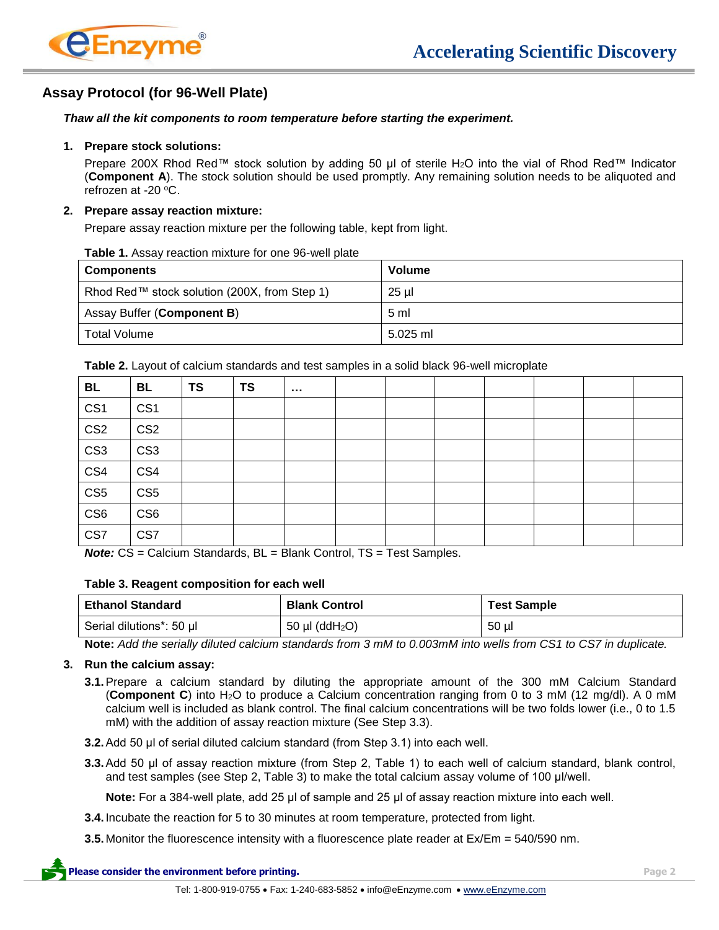

# **Assay Protocol (for 96-Well Plate)**

#### *Thaw all the kit components to room temperature before starting the experiment.*

#### **1. Prepare stock solutions:**

Prepare 200X Rhod Red™ stock solution by adding 50 µl of sterile H<sub>2</sub>O into the vial of Rhod Red™ Indicator (**Component A**). The stock solution should be used promptly. Any remaining solution needs to be aliquoted and refrozen at -20 $\,^{\circ}$ C.

#### **2. Prepare assay reaction mixture:**

Prepare assay reaction mixture per the following table, kept from light.

| <b>Components</b>                            | <b>Volume</b>  |
|----------------------------------------------|----------------|
| Rhod Red™ stock solution (200X, from Step 1) | 25 µl          |
| Assay Buffer ( <b>Component B</b> )          | 5 <sub>m</sub> |
| <b>Total Volume</b>                          | $5.025$ ml     |

**Table 1.** Assay reaction mixture for one 96-well plate

**Table 2.** Layout of calcium standards and test samples in a solid black 96-well microplate

| <b>BL</b>               | BL              | <b>TS</b> | <b>TS</b> | <b>ALC UNIT</b> |  |  |  |  |
|-------------------------|-----------------|-----------|-----------|-----------------|--|--|--|--|
| CS <sub>1</sub>         | CS <sub>1</sub> |           |           |                 |  |  |  |  |
| $\overline{\text{CS2}}$ | CS <sub>2</sub> |           |           |                 |  |  |  |  |
| $\overline{\text{CS3}}$ | CS <sub>3</sub> |           |           |                 |  |  |  |  |
| CS4                     | CS4             |           |           |                 |  |  |  |  |
| $\overline{\text{CS5}}$ | CS <sub>5</sub> |           |           |                 |  |  |  |  |
| CS <sub>6</sub>         | CS <sub>6</sub> |           |           |                 |  |  |  |  |
| CS7                     | CS7             |           |           |                 |  |  |  |  |

*Note:* CS = Calcium Standards, BL = Blank Control, TS = Test Samples.

#### **Table 3. Reagent composition for each well**

| <b>Ethanol Standard</b>  | <b>Blank Control</b>            | <b>Test Sample</b> |
|--------------------------|---------------------------------|--------------------|
| Serial dilutions*: 50 µl | 50 $\mu$ I (ddH <sub>2</sub> O) | 50 ul              |

**Note:** *Add the serially diluted calcium standards from 3 mM to 0.003mM into wells from CS1 to CS7 in duplicate.*

#### **3. Run the calcium assay:**

- **3.1.**Prepare a calcium standard by diluting the appropriate amount of the 300 mM Calcium Standard (**Component C**) into H2O to produce a Calcium concentration ranging from 0 to 3 mM (12 mg/dl). A 0 mM calcium well is included as blank control. The final calcium concentrations will be two folds lower (i.e., 0 to 1.5 mM) with the addition of assay reaction mixture (See Step 3.3).
- **3.2.**Add 50 μl of serial diluted calcium standard (from Step 3.1) into each well.
- **3.3.**Add 50 μl of assay reaction mixture (from Step 2, Table 1) to each well of calcium standard, blank control, and test samples (see Step 2, Table 3) to make the total calcium assay volume of 100 μl/well.

**Note:** For a 384-well plate, add 25 μl of sample and 25 μl of assay reaction mixture into each well.

- **3.4.** Incubate the reaction for 5 to 30 minutes at room temperature, protected from light.
- **3.5.** Monitor the fluorescence intensity with a fluorescence plate reader at Ex/Em = 540/590 nm.

**Please consider the environment before printing. Page 2**